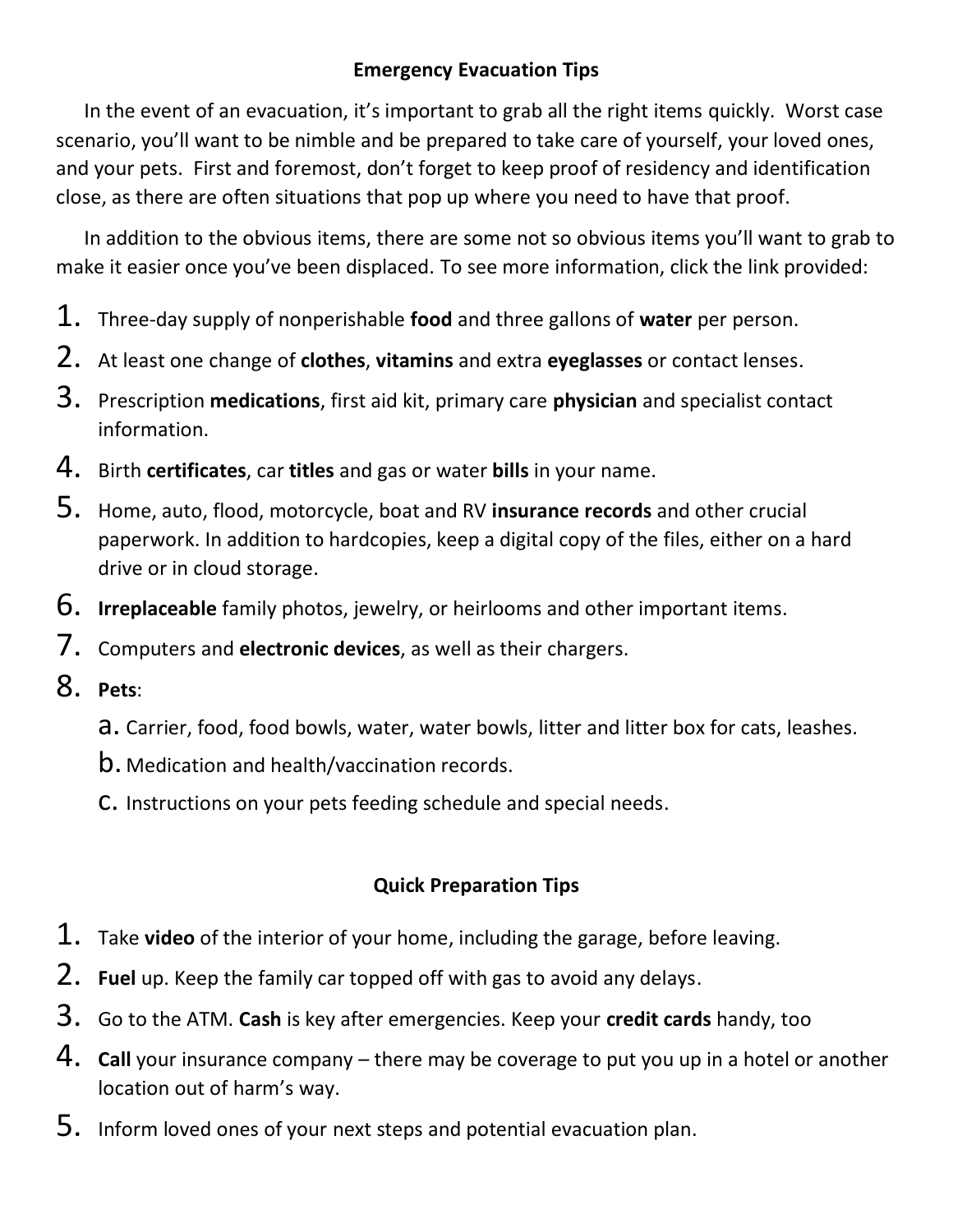## **Emergency Evacuation Tips**

In the event of an evacuation, it's important to grab all the right items quickly. Worst case scenario, you'll want to be nimble and be prepared to take care of yourself, your loved ones, and your pets. First and foremost, don't forget to keep proof of residency and identification close, as there are often situations that pop up where you need to have that proof.

In addition to the obvious items, there are some not so obvious items you'll want to grab to make it easier once you've been displaced. To see more information, click the link provided:

- 1. Three-day supply of nonperishable **food** and three gallons of **water** per person.
- 2. At least one change of **clothes**, **vitamins** and extra **eyeglasses** or contact lenses.
- 3. Prescription **medications**, first aid kit, primary care **physician** and specialist contact information.
- 4. Birth **certificates**, car **titles** and gas or water **bills** in your name.
- 5. Home, auto, flood, motorcycle, boat and RV **insurance records** and other crucial paperwork. In addition to hardcopies, keep a digital copy of the files, either on a hard drive or in cloud storage.
- 6. **Irreplaceable** family photos, jewelry, or heirlooms and other important items.
- 7. Computers and **electronic devices**, as well as their chargers.
- 8. **Pets**:
	- a. Carrier, food, food bowls, water, water bowls, litter and litter box for cats, leashes.
	- b. Medication and health/vaccination records.
	- c. Instructions on your pets feeding schedule and special needs.

## **Quick Preparation Tips**

- 1. Take **video** of the interior of your home, including the garage, before leaving.
- 2. **Fuel** up. Keep the family car topped off with gas to avoid any delays.
- 3. Go to the ATM. **Cash** is key after emergencies. Keep your **credit cards** handy, too
- 4. **Call** your insurance company there may be coverage to put you up in a hotel or another location out of harm's way.
- 5. Inform loved ones of your next steps and potential evacuation plan.